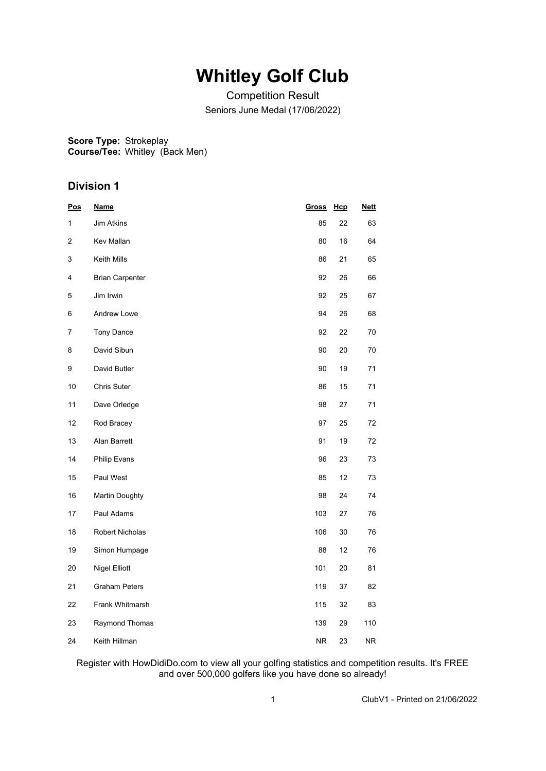## **Whitley Golf Club**

Competition Result Seniors June Medal (17/06/2022)

**Score Type:** Strokeplay **Course/Tee:** Whitley (Back Men)

### **Division 1**

| <u>Pos</u> | <b>Name</b>            | <b>Gross</b> | Hcp | <b>Nett</b> |
|------------|------------------------|--------------|-----|-------------|
| 1          | <b>Jim Atkins</b>      | 85           | 22  | 63          |
| 2          | Kev Mallan             | 80           | 16  | 64          |
| 3          | Keith Mills            | 86           | 21  | 65          |
| 4          | <b>Brian Carpenter</b> | 92           | 26  | 66          |
| 5          | Jim Irwin              | 92           | 25  | 67          |
| 6          | Andrew Lowe            | 94           | 26  | 68          |
| 7          | Tony Dance             | 92           | 22  | $70\,$      |
| 8          | David Sibun            | 90           | 20  | $70\,$      |
| 9          | David Butler           | 90           | 19  | 71          |
| 10         | Chris Suter            | 86           | 15  | 71          |
| 11         | Dave Orledge           | 98           | 27  | 71          |
| 12         | Rod Bracey             | 97           | 25  | 72          |
| 13         | Alan Barrett           | 91           | 19  | 72          |
| 14         | Philip Evans           | 96           | 23  | 73          |
| 15         | Paul West              | 85           | 12  | 73          |
| 16         | <b>Martin Doughty</b>  | 98           | 24  | 74          |
| 17         | Paul Adams             | 103          | 27  | 76          |
| 18         | <b>Robert Nicholas</b> | 106          | 30  | 76          |
| 19         | Simon Humpage          | 88           | 12  | 76          |
| 20         | <b>Nigel Elliott</b>   | 101          | 20  | 81          |
| 21         | <b>Graham Peters</b>   | 119          | 37  | 82          |
| 22         | Frank Whitmarsh        | 115          | 32  | 83          |
| 23         | Raymond Thomas         | 139          | 29  | 110         |
| 24         | Keith Hillman          | ${\sf NR}$   | 23  | NR.         |

Register with HowDidiDo.com to view all your golfing statistics and competition results. It's FREE and over 500,000 golfers like you have done so already!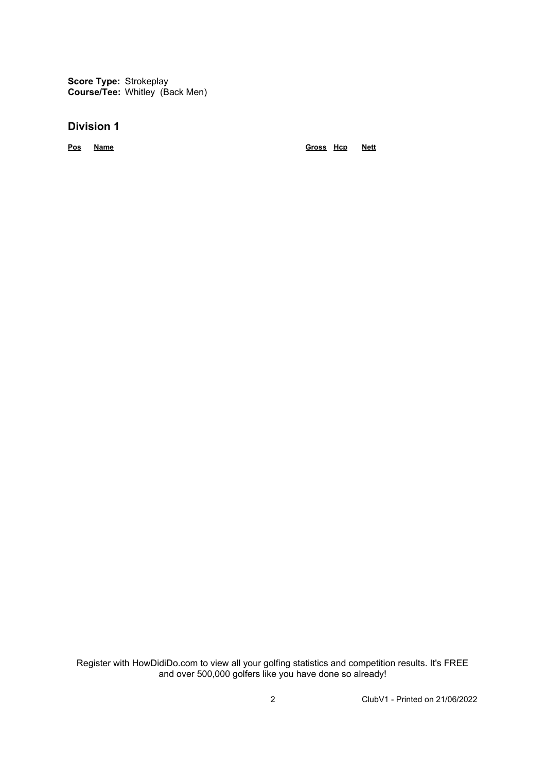**Score Type:** Strokeplay **Course/Tee:** Whitley (Back Men)

#### **Division 1**

**Pos Name Gross Hcp Nett**

Register with HowDidiDo.com to view all your golfing statistics and competition results. It's FREE and over 500,000 golfers like you have done so already!